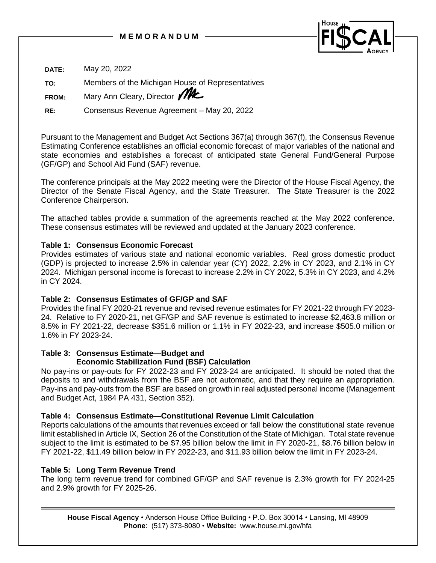

**DATE:** May 20, 2022 **TO:** Members of the Michigan House of Representatives **FROM:** Mary Ann Cleary, Director **MC RE:** Consensus Revenue Agreement – May 20, 2022

Pursuant to the Management and Budget Act Sections 367(a) through 367(f), the Consensus Revenue Estimating Conference establishes an official economic forecast of major variables of the national and state economies and establishes a forecast of anticipated state General Fund/General Purpose (GF/GP) and School Aid Fund (SAF) revenue.

The conference principals at the May 2022 meeting were the Director of the House Fiscal Agency, the Director of the Senate Fiscal Agency, and the State Treasurer. The State Treasurer is the 2022 Conference Chairperson.

The attached tables provide a summation of the agreements reached at the May 2022 conference. These consensus estimates will be reviewed and updated at the January 2023 conference.

# **Table 1: Consensus Economic Forecast**

Provides estimates of various state and national economic variables. Real gross domestic product (GDP) is projected to increase 2.5% in calendar year (CY) 2022, 2.2% in CY 2023, and 2.1% in CY 2024. Michigan personal income is forecast to increase 2.2% in CY 2022, 5.3% in CY 2023, and 4.2% in CY 2024.

# **Table 2: Consensus Estimates of GF/GP and SAF**

Provides the final FY 2020-21 revenue and revised revenue estimates for FY 2021-22 through FY 2023- 24. Relative to FY 2020-21, net GF/GP and SAF revenue is estimated to increase \$2,463.8 million or 8.5% in FY 2021-22, decrease \$351.6 million or 1.1% in FY 2022-23, and increase \$505.0 million or 1.6% in FY 2023-24.

### **Table 3: Consensus Estimate—Budget and Economic Stabilization Fund (BSF) Calculation**

No pay-ins or pay-outs for FY 2022-23 and FY 2023-24 are anticipated. It should be noted that the deposits to and withdrawals from the BSF are not automatic, and that they require an appropriation. Pay-ins and pay-outs from the BSF are based on growth in real adjusted personal income (Management and Budget Act, 1984 PA 431, Section 352).

# **Table 4: Consensus Estimate—Constitutional Revenue Limit Calculation**

Reports calculations of the amounts that revenues exceed or fall below the constitutional state revenue limit established in Article IX, Section 26 of the Constitution of the State of Michigan. Total state revenue subject to the limit is estimated to be \$7.95 billion below the limit in FY 2020-21, \$8.76 billion below in FY 2021-22, \$11.49 billion below in FY 2022-23, and \$11.93 billion below the limit in FY 2023-24.

# **Table 5: Long Term Revenue Trend**

The long term revenue trend for combined GF/GP and SAF revenue is 2.3% growth for FY 2024-25 and 2.9% growth for FY 2025-26.

**House Fiscal Agency** • Anderson House Office Building • P.O. Box 30014 • Lansing, MI 48909 **Phone**: (517) 373-8080 • **Website:** www.house.mi.gov/hfa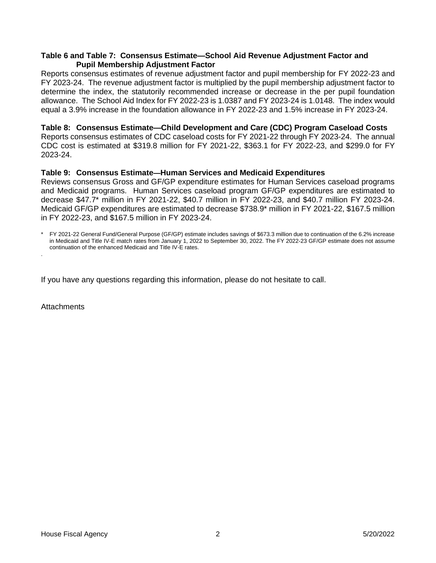### **Table 6 and Table 7: Consensus Estimate—School Aid Revenue Adjustment Factor and Pupil Membership Adjustment Factor**

Reports consensus estimates of revenue adjustment factor and pupil membership for FY 2022-23 and FY 2023-24. The revenue adjustment factor is multiplied by the pupil membership adjustment factor to determine the index, the statutorily recommended increase or decrease in the per pupil foundation allowance. The School Aid Index for FY 2022-23 is 1.0387 and FY 2023-24 is 1.0148. The index would equal a 3.9% increase in the foundation allowance in FY 2022-23 and 1.5% increase in FY 2023-24.

### **Table 8: Consensus Estimate—Child Development and Care (CDC) Program Caseload Costs**

Reports consensus estimates of CDC caseload costs for FY 2021-22 through FY 2023-24. The annual CDC cost is estimated at \$319.8 million for FY 2021-22, \$363.1 for FY 2022-23, and \$299.0 for FY 2023-24.

# **Table 9: Consensus Estimate—Human Services and Medicaid Expenditures**

Reviews consensus Gross and GF/GP expenditure estimates for Human Services caseload programs and Medicaid programs. Human Services caseload program GF/GP expenditures are estimated to decrease \$47.7\* million in FY 2021-22, \$40.7 million in FY 2022-23, and \$40.7 million FY 2023-24. Medicaid GF/GP expenditures are estimated to decrease \$738.9\* million in FY 2021-22, \$167.5 million in FY 2022-23, and \$167.5 million in FY 2023-24.

If you have any questions regarding this information, please do not hesitate to call.

**Attachments** 

<sup>\*</sup> FY 2021-22 General Fund/General Purpose (GF/GP) estimate includes savings of \$673.3 million due to continuation of the 6.2% increase in Medicaid and Title IV-E match rates from January 1, 2022 to September 30, 2022. The FY 2022-23 GF/GP estimate does not assume continuation of the enhanced Medicaid and Title IV-E rates. .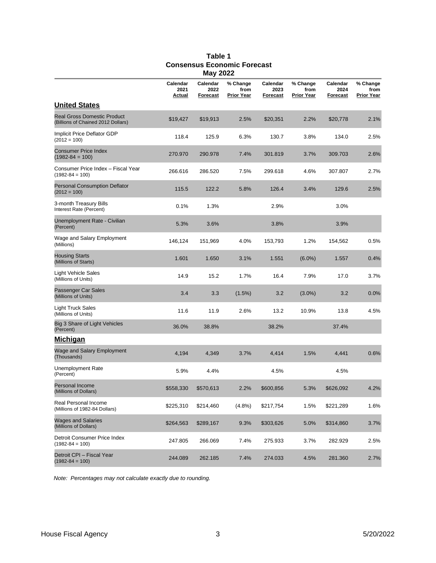|                                                                          |                            | ,                            |                                       |                              |                                |                              |                                       |
|--------------------------------------------------------------------------|----------------------------|------------------------------|---------------------------------------|------------------------------|--------------------------------|------------------------------|---------------------------------------|
|                                                                          | Calendar<br>2021<br>Actual | Calendar<br>2022<br>Forecast | % Change<br>from<br><b>Prior Year</b> | Calendar<br>2023<br>Forecast | % Change<br>from<br>Prior Year | Calendar<br>2024<br>Forecast | % Change<br>from<br><b>Prior Year</b> |
| <b>United States</b>                                                     |                            |                              |                                       |                              |                                |                              |                                       |
| <b>Real Gross Domestic Product</b><br>(Billions of Chained 2012 Dollars) | \$19,427                   | \$19,913                     | 2.5%                                  | \$20,351                     | 2.2%                           | \$20,778                     | 2.1%                                  |
| Implicit Price Deflator GDP<br>$(2012 = 100)$                            | 118.4                      | 125.9                        | 6.3%                                  | 130.7                        | 3.8%                           | 134.0                        | 2.5%                                  |
| <b>Consumer Price Index</b><br>$(1982 - 84 = 100)$                       | 270.970                    | 290.978                      | 7.4%                                  | 301.819                      | 3.7%                           | 309.703                      | 2.6%                                  |
| Consumer Price Index - Fiscal Year<br>$(1982 - 84 = 100)$                | 266.616                    | 286.520                      | 7.5%                                  | 299.618                      | 4.6%                           | 307.807                      | 2.7%                                  |
| <b>Personal Consumption Deflator</b><br>$(2012 = 100)$                   | 115.5                      | 122.2                        | 5.8%                                  | 126.4                        | 3.4%                           | 129.6                        | 2.5%                                  |
| 3-month Treasury Bills<br>Interest Rate (Percent)                        | 0.1%                       | 1.3%                         |                                       | 2.9%                         |                                | 3.0%                         |                                       |
| Unemployment Rate - Civilian<br>(Percent)                                | 5.3%                       | 3.6%                         |                                       | 3.8%                         |                                | 3.9%                         |                                       |
| Wage and Salary Employment<br>(Millions)                                 | 146,124                    | 151,969                      | 4.0%                                  | 153,793                      | 1.2%                           | 154,562                      | 0.5%                                  |
| <b>Housing Starts</b><br>(Millions of Starts)                            | 1.601                      | 1.650                        | 3.1%                                  | 1.551                        | $(6.0\%)$                      | 1.557                        | 0.4%                                  |
| Light Vehicle Sales<br>(Millions of Units)                               | 14.9                       | 15.2                         | 1.7%                                  | 16.4                         | 7.9%                           | 17.0                         | 3.7%                                  |
| Passenger Car Sales<br>(Millions of Units)                               | 3.4                        | 3.3                          | $(1.5\%)$                             | 3.2                          | $(3.0\%)$                      | 3.2                          | $0.0\%$                               |
| Light Truck Sales<br>(Millions of Units)                                 | 11.6                       | 11.9                         | 2.6%                                  | 13.2                         | 10.9%                          | 13.8                         | 4.5%                                  |
| Big 3 Share of Light Vehicles<br>(Percent)                               | 36.0%                      | 38.8%                        |                                       | 38.2%                        |                                | 37.4%                        |                                       |
| <u>Michigan</u>                                                          |                            |                              |                                       |                              |                                |                              |                                       |
| Wage and Salary Employment<br>(Thousands)                                | 4,194                      | 4,349                        | 3.7%                                  | 4,414                        | 1.5%                           | 4,441                        | 0.6%                                  |
| Unemployment Rate<br>(Percent)                                           | 5.9%                       | 4.4%                         |                                       | 4.5%                         |                                | 4.5%                         |                                       |
| <b>Personal Income</b><br>(Millions of Dollars)                          | \$558,330                  | \$570,613                    | 2.2%                                  | \$600,856                    | 5.3%                           | \$626,092                    | 4.2%                                  |
| Real Personal Income<br>(Millions of 1982-84 Dollars)                    | \$225,310                  | \$214,460                    | $(4.8\%)$                             | \$217,754                    | 1.5%                           | \$221,289                    | 1.6%                                  |
| <b>Wages and Salaries</b><br>(Millions of Dollars)                       | \$264,563                  | \$289,167                    | 9.3%                                  | \$303,626                    | 5.0%                           | \$314,860                    | 3.7%                                  |
| Detroit Consumer Price Index<br>$(1982 - 84 = 100)$                      | 247.805                    | 266.069                      | 7.4%                                  | 275.933                      | 3.7%                           | 282.929                      | 2.5%                                  |
| Detroit CPI - Fiscal Year<br>$(1982 - 84 = 100)$                         | 244.089                    | 262.185                      | 7.4%                                  | 274.033                      | 4.5%                           | 281.360                      | 2.7%                                  |

### **Table 1 Consensus Economic Forecast May 2022**

*Note: Percentages may not calculate exactly due to rounding.*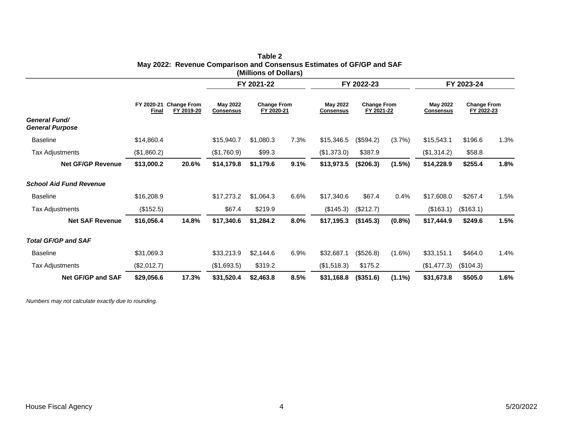|                                                |                     |                                  |                              | FY 2021-22                       |      |                                     | FY 2022-23                       |           |                                     | FY 2023-24                       |      |
|------------------------------------------------|---------------------|----------------------------------|------------------------------|----------------------------------|------|-------------------------------------|----------------------------------|-----------|-------------------------------------|----------------------------------|------|
|                                                | FY 2020-21<br>Final | <b>Change From</b><br>FY 2019-20 | May 2022<br><b>Consensus</b> | <b>Change From</b><br>FY 2020-21 |      | <b>May 2022</b><br><b>Consensus</b> | <b>Change From</b><br>FY 2021-22 |           | <b>May 2022</b><br><b>Consensus</b> | <b>Change From</b><br>FY 2022-23 |      |
| <b>General Fund/</b><br><b>General Purpose</b> |                     |                                  |                              |                                  |      |                                     |                                  |           |                                     |                                  |      |
| <b>Baseline</b>                                | \$14,860.4          |                                  | \$15,940.7                   | \$1,080.3                        | 7.3% | \$15,346.5                          | (\$594.2)                        | (3.7%)    | \$15,543.1                          | \$196.6                          | 1.3% |
| Tax Adjustments                                | (\$1,860.2)         |                                  | (\$1,760.9)                  | \$99.3                           |      | (\$1,373.0)                         | \$387.9                          |           | (\$1,314.2)                         | \$58.8                           |      |
| <b>Net GF/GP Revenue</b>                       | \$13,000.2          | 20.6%                            | \$14,179.8                   | \$1,179.6                        | 9.1% | \$13,973.5                          | (\$206.3)                        | (1.5%)    | \$14,228.9                          | \$255.4                          | 1.8% |
| <b>School Aid Fund Revenue</b>                 |                     |                                  |                              |                                  |      |                                     |                                  |           |                                     |                                  |      |
| <b>Baseline</b>                                | \$16,208.9          |                                  | \$17,273.2                   | \$1,064.3                        | 6.6% | \$17,340.6                          | \$67.4                           | 0.4%      | \$17,608.0                          | \$267.4                          | 1.5% |
| Tax Adjustments                                | (\$152.5)           |                                  | \$67.4                       | \$219.9                          |      | (\$145.3)                           | (\$212.7)                        |           | (\$163.1)                           | (\$163.1)                        |      |
| <b>Net SAF Revenue</b>                         | \$16,056.4          | 14.8%                            | \$17,340.6                   | \$1,284.2                        | 8.0% | \$17,195.3                          | (\$145.3)                        | (0.8% )   | \$17,444.9                          | \$249.6                          | 1.5% |
| <b>Total GF/GP and SAF</b>                     |                     |                                  |                              |                                  |      |                                     |                                  |           |                                     |                                  |      |
| <b>Baseline</b>                                | \$31,069.3          |                                  | \$33,213.9                   | \$2,144.6                        | 6.9% | \$32,687.1                          | (\$526.8)                        | $(1.6\%)$ | \$33,151.1                          | \$464.0                          | 1.4% |
| Tax Adjustments                                | (\$2,012.7)         |                                  | (\$1,693.5)                  | \$319.2                          |      | (\$1,518.3)                         | \$175.2                          |           | (\$1,477.3)                         | (\$104.3)                        |      |
| Net GF/GP and SAF                              | \$29,056.6          | 17.3%                            | \$31,520.4                   | \$2,463.8                        | 8.5% | \$31,168.8                          | (\$351.6)                        | $(1.1\%)$ | \$31,673.8                          | \$505.0                          | 1.6% |

### **Table 2 May 2022: Revenue Comparison and Consensus Estimates of GF/GP and SAF (Millions of Dollars)**

*Numbers may not calculate exactly due to rounding.*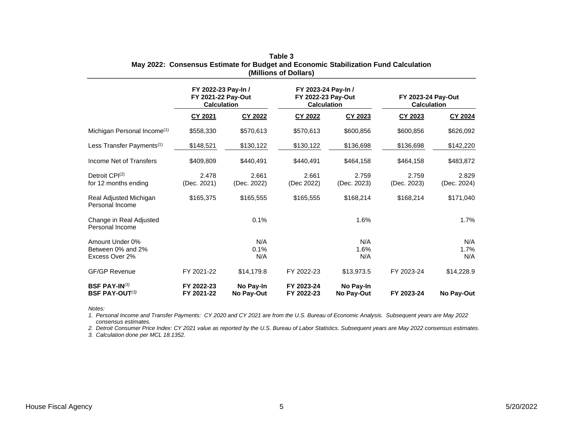|                                                        | FY 2022-23 Pay-In /<br>FY 2021-22 Pay-Out<br><b>Calculation</b> |                         | FY 2023-24 Pay-In /<br>FY 2022-23 Pay-Out<br><b>Calculation</b> |                         | FY 2023-24 Pay-Out<br><b>Calculation</b> |                      |
|--------------------------------------------------------|-----------------------------------------------------------------|-------------------------|-----------------------------------------------------------------|-------------------------|------------------------------------------|----------------------|
|                                                        | CY 2021                                                         | CY 2022                 | CY 2022                                                         | CY 2023                 | CY 2023                                  | CY 2024              |
| Michigan Personal Income <sup>(1)</sup>                | \$558,330                                                       | \$570,613               | \$570,613                                                       | \$600,856               | \$600,856                                | \$626,092            |
| Less Transfer Payments <sup>(1)</sup>                  | \$148,521                                                       | \$130,122               | \$130,122                                                       | \$136,698               | \$136,698                                | \$142,220            |
| Income Net of Transfers                                | \$409,809                                                       | \$440,491               | \$440,491                                                       | \$464,158               | \$464,158                                | \$483,872            |
| Detroit CPI <sup>(2)</sup><br>for 12 months ending     | 2.478<br>(Dec. 2021)                                            | 2.661<br>(Dec. 2022)    | 2.661<br>(Dec 2022)                                             | 2.759<br>(Dec. 2023)    | 2.759<br>(Dec. 2023)                     | 2.829<br>(Dec. 2024) |
| Real Adjusted Michigan<br>Personal Income              | \$165,375                                                       | \$165,555               | \$165,555                                                       | \$168,214               | \$168,214                                | \$171,040            |
| Change in Real Adjusted<br>Personal Income             |                                                                 | 0.1%                    |                                                                 | 1.6%                    |                                          | 1.7%                 |
| Amount Under 0%<br>Between 0% and 2%<br>Excess Over 2% |                                                                 | N/A<br>0.1%<br>N/A      |                                                                 | N/A<br>1.6%<br>N/A      |                                          | N/A<br>1.7%<br>N/A   |
| <b>GF/GP Revenue</b>                                   | FY 2021-22                                                      | \$14,179.8              | FY 2022-23                                                      | \$13,973.5              | FY 2023-24                               | \$14,228.9           |
| <b>BSF PAY-IN</b> $(3)$<br><b>BSF PAY-OUT(3)</b>       | FY 2022-23<br>FY 2021-22                                        | No Pay-In<br>No Pay-Out | FY 2023-24<br>FY 2022-23                                        | No Pay-In<br>No Pay-Out | FY 2023-24                               | No Pay-Out           |

**Table 3 May 2022: Consensus Estimate for Budget and Economic Stabilization Fund Calculation (Millions of Dollars)**

*Notes:*

*1. Personal Income and Transfer Payments: CY 2020 and CY 2021 are from the U.S. Bureau of Economic Analysis. Subsequent years are May 2022 consensus estimates.*

*2. Detroit Consumer Price Index: CY 2021 value as reported by the U.S. Bureau of Labor Statistics. Subsequent years are May 2022 consensus estimates.*

*3. Calculation done per MCL 18.1352.*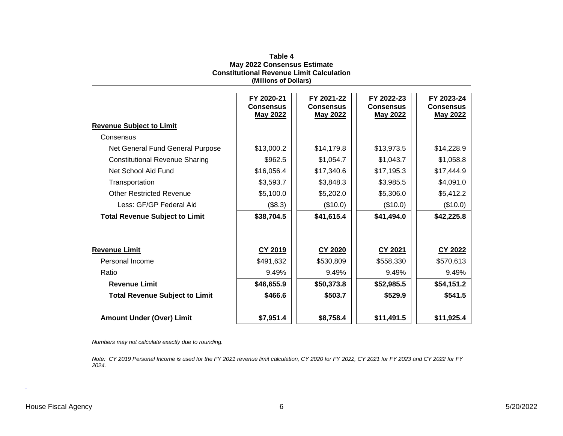|                                       | <b>Constitutional Revenue Limit Calculation</b><br>(Millions of Dollars) |                                                   |                                                   |                                                   |
|---------------------------------------|--------------------------------------------------------------------------|---------------------------------------------------|---------------------------------------------------|---------------------------------------------------|
|                                       | FY 2020-21<br><b>Consensus</b><br><b>May 2022</b>                        | FY 2021-22<br><b>Consensus</b><br><b>May 2022</b> | FY 2022-23<br><b>Consensus</b><br><b>May 2022</b> | FY 2023-24<br><b>Consensus</b><br><b>May 2022</b> |
| <b>Revenue Subject to Limit</b>       |                                                                          |                                                   |                                                   |                                                   |
| Consensus                             |                                                                          |                                                   |                                                   |                                                   |
| Net General Fund General Purpose      | \$13,000.2                                                               | \$14,179.8                                        | \$13,973.5                                        | \$14,228.9                                        |
| <b>Constitutional Revenue Sharing</b> | \$962.5                                                                  | \$1,054.7                                         | \$1,043.7                                         | \$1,058.8                                         |
| Net School Aid Fund                   | \$16,056.4                                                               | \$17,340.6                                        | \$17,195.3                                        | \$17,444.9                                        |
| Transportation                        | \$3,593.7                                                                | \$3,848.3                                         | \$3,985.5                                         | \$4,091.0                                         |
| <b>Other Restricted Revenue</b>       | \$5,100.0                                                                | \$5,202.0                                         | \$5,306.0                                         | \$5,412.2                                         |
| Less: GF/GP Federal Aid               | (\$8.3)                                                                  | (\$10.0)                                          | (\$10.0)                                          | (\$10.0)                                          |
| <b>Total Revenue Subject to Limit</b> | \$38,704.5                                                               | \$41,615.4                                        | \$41,494.0                                        | \$42,225.8                                        |
| <b>Revenue Limit</b>                  | CY 2019                                                                  | CY 2020                                           | CY 2021                                           | CY 2022                                           |
| Personal Income                       | \$491,632                                                                | \$530,809                                         | \$558,330                                         | \$570,613                                         |
| Ratio                                 | 9.49%                                                                    | 9.49%                                             | 9.49%                                             | 9.49%                                             |
| <b>Revenue Limit</b>                  | \$46,655.9                                                               | \$50,373.8                                        | \$52,985.5                                        | \$54,151.2                                        |
| <b>Total Revenue Subject to Limit</b> | \$466.6                                                                  | \$503.7                                           | \$529.9                                           | \$541.5                                           |
| <b>Amount Under (Over) Limit</b>      | \$7,951.4                                                                | \$8,758.4                                         | \$11,491.5                                        | \$11,925.4                                        |

**Table 4 May 2022 Consensus Estimate Constitutional Revenue Limit Calculation**

*Numbers may not calculate exactly due to rounding.*

*Note: CY 2019 Personal Income is used for the FY 2021 revenue limit calculation, CY 2020 for FY 2022, CY 2021 for FY 2023 and CY 2022 for FY 2024.*

*.*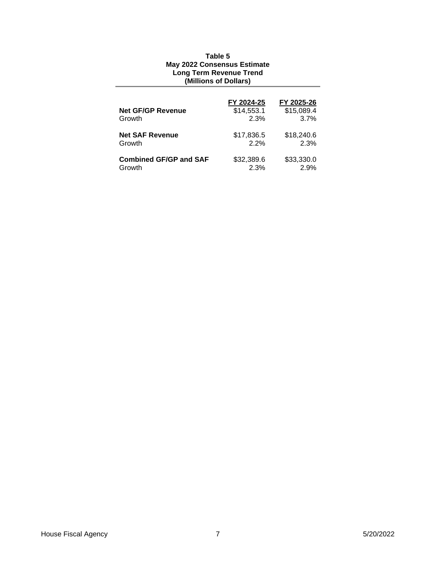### **Table 5 May 2022 Consensus Estimate Long Term Revenue Trend (Millions of Dollars)**

|                               | FY 2024-25 | FY 2025-26 |
|-------------------------------|------------|------------|
| <b>Net GF/GP Revenue</b>      | \$14,553.1 | \$15,089.4 |
| Growth                        | 2.3%       | 3.7%       |
| <b>Net SAF Revenue</b>        | \$17,836.5 | \$18,240.6 |
| Growth                        | 2.2%       | 2.3%       |
| <b>Combined GF/GP and SAF</b> | \$32,389.6 | \$33,330.0 |
| Growth                        | 2.3%       | 2.9%       |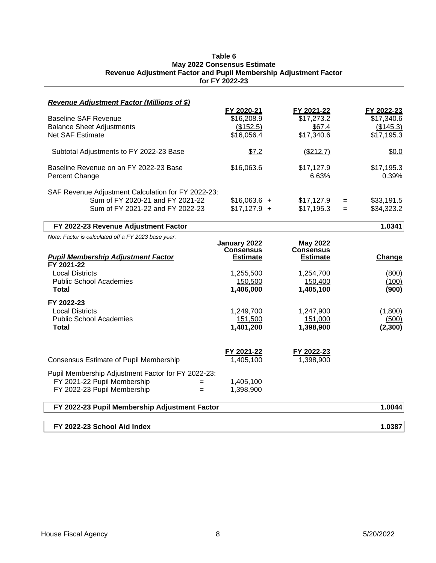#### **Table 6 May 2022 Consensus Estimate Revenue Adjustment Factor and Pupil Membership Adjustment Factor for FY 2022-23**

| <b>Revenue Adjustment Factor (Millions of \$)</b>                    |                                  |                                     |     |                          |
|----------------------------------------------------------------------|----------------------------------|-------------------------------------|-----|--------------------------|
| <b>Baseline SAF Revenue</b>                                          | FY 2020-21<br>\$16,208.9         | FY 2021-22<br>\$17,273.2            |     | FY 2022-23<br>\$17,340.6 |
| <b>Balance Sheet Adjustments</b>                                     | (\$152.5)                        | \$67.4                              |     | (\$145.3)                |
| <b>Net SAF Estimate</b>                                              | \$16,056.4                       | \$17,340.6                          |     | \$17,195.3               |
|                                                                      |                                  |                                     |     |                          |
| Subtotal Adjustments to FY 2022-23 Base                              | \$7.2                            | (\$212.7)                           |     | \$0.0                    |
| Baseline Revenue on an FY 2022-23 Base                               | \$16,063.6                       | \$17,127.9                          |     | \$17,195.3               |
| Percent Change                                                       |                                  | 6.63%                               |     | 0.39%                    |
|                                                                      |                                  |                                     |     |                          |
| SAF Revenue Adjustment Calculation for FY 2022-23:                   |                                  |                                     |     |                          |
| Sum of FY 2020-21 and FY 2021-22<br>Sum of FY 2021-22 and FY 2022-23 | $$16,063.6 +$                    | \$17,127.9                          | $=$ | \$33,191.5               |
|                                                                      | $$17,127.9 +$                    | \$17,195.3                          | $=$ | \$34,323.2               |
| FY 2022-23 Revenue Adjustment Factor                                 |                                  |                                     |     | 1.0341                   |
| Note: Factor is calculated off a FY 2023 base year.                  |                                  |                                     |     |                          |
|                                                                      | January 2022<br><b>Consensus</b> | <b>May 2022</b><br><b>Consensus</b> |     |                          |
| <b>Pupil Membership Adjustment Factor</b>                            | <b>Estimate</b>                  | <b>Estimate</b>                     |     | Change                   |
| FY 2021-22                                                           |                                  |                                     |     |                          |
| <b>Local Districts</b>                                               | 1,255,500                        | 1,254,700                           |     | (800)                    |
| <b>Public School Academies</b>                                       | 150,500                          | 150,400                             |     | (100)                    |
| Total                                                                | 1,406,000                        | 1,405,100                           |     | (900)                    |
| FY 2022-23                                                           |                                  |                                     |     |                          |
| <b>Local Districts</b>                                               | 1,249,700                        | 1,247,900                           |     | (1,800)                  |
| <b>Public School Academies</b>                                       | 151,500                          | 151,000                             |     | (500)                    |
| Total                                                                | 1,401,200                        | 1,398,900                           |     | (2,300)                  |
|                                                                      |                                  |                                     |     |                          |
|                                                                      |                                  |                                     |     |                          |
|                                                                      | FY 2021-22                       | FY 2022-23                          |     |                          |
| Consensus Estimate of Pupil Membership                               | 1,405,100                        | 1,398,900                           |     |                          |
| Pupil Membership Adjustment Factor for FY 2022-23:                   |                                  |                                     |     |                          |
| FY 2021-22 Pupil Membership<br>$=$                                   | 1,405,100                        |                                     |     |                          |
| FY 2022-23 Pupil Membership<br>$=$                                   | 1,398,900                        |                                     |     |                          |
| FY 2022-23 Pupil Membership Adjustment Factor                        |                                  |                                     |     | 1.0044                   |
|                                                                      |                                  |                                     |     |                          |
| FY 2022-23 School Aid Index                                          |                                  |                                     |     | 1.0387                   |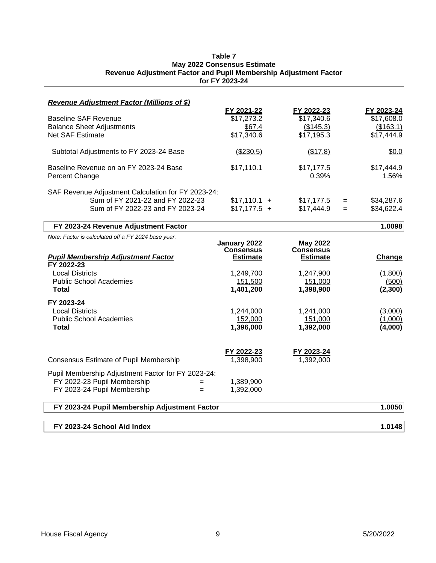### **Table 7 May 2022 Consensus Estimate Revenue Adjustment Factor and Pupil Membership Adjustment Factor for FY 2023-24**

| <b>Revenue Adjustment Factor (Millions of \$)</b>   |                                  |                                     |                   |
|-----------------------------------------------------|----------------------------------|-------------------------------------|-------------------|
|                                                     | FY 2021-22                       | FY 2022-23                          | FY 2023-24        |
| <b>Baseline SAF Revenue</b>                         | \$17,273.2                       | \$17,340.6                          | \$17,608.0        |
| <b>Balance Sheet Adjustments</b>                    | \$67.4                           | (\$145.3)                           | (\$163.1)         |
| <b>Net SAF Estimate</b>                             | \$17,340.6                       | \$17,195.3                          | \$17,444.9        |
| Subtotal Adjustments to FY 2023-24 Base             | (\$230.5)                        | (\$17.8)                            | \$0.0             |
| Baseline Revenue on an FY 2023-24 Base              | \$17,110.1                       | \$17,177.5                          | \$17,444.9        |
| Percent Change                                      |                                  | 0.39%                               | 1.56%             |
| SAF Revenue Adjustment Calculation for FY 2023-24:  |                                  |                                     |                   |
| Sum of FY 2021-22 and FY 2022-23                    | $$17,110.1 +$                    | \$17,177.5                          | \$34,287.6<br>$=$ |
| Sum of FY 2022-23 and FY 2023-24                    | $$17,177.5 +$                    | \$17,444.9                          | \$34,622.4<br>$=$ |
|                                                     |                                  |                                     |                   |
| FY 2023-24 Revenue Adjustment Factor                |                                  |                                     | 1.0098            |
| Note: Factor is calculated off a FY 2024 base year. |                                  |                                     |                   |
|                                                     | January 2022<br><b>Consensus</b> | <b>May 2022</b><br><b>Consensus</b> |                   |
| <b>Pupil Membership Adjustment Factor</b>           | <b>Estimate</b>                  | <b>Estimate</b>                     | Change            |
| FY 2022-23                                          |                                  |                                     |                   |
| <b>Local Districts</b>                              | 1,249,700                        | 1,247,900                           | (1,800)           |
| <b>Public School Academies</b>                      | 151,500                          | 151,000                             | (500)             |
| Total                                               | 1,401,200                        | 1,398,900                           | (2,300)           |
| FY 2023-24                                          |                                  |                                     |                   |
| <b>Local Districts</b>                              | 1,244,000                        | 1,241,000                           | (3,000)           |
| <b>Public School Academies</b>                      | 152,000                          | 151,000                             | (1,000)           |
| <b>Total</b>                                        | 1,396,000                        | 1,392,000                           | (4,000)           |
|                                                     |                                  |                                     |                   |
|                                                     | FY 2022-23                       | FY 2023-24                          |                   |
| <b>Consensus Estimate of Pupil Membership</b>       | 1,398,900                        | 1,392,000                           |                   |
| Pupil Membership Adjustment Factor for FY 2023-24:  |                                  |                                     |                   |
| FY 2022-23 Pupil Membership<br>$=$                  | 1,389,900                        |                                     |                   |
| FY 2023-24 Pupil Membership<br>$=$                  | 1,392,000                        |                                     |                   |
| FY 2023-24 Pupil Membership Adjustment Factor       |                                  |                                     | 1.0050            |
|                                                     |                                  |                                     |                   |
| FY 2023-24 School Aid Index                         |                                  |                                     | 1.0148            |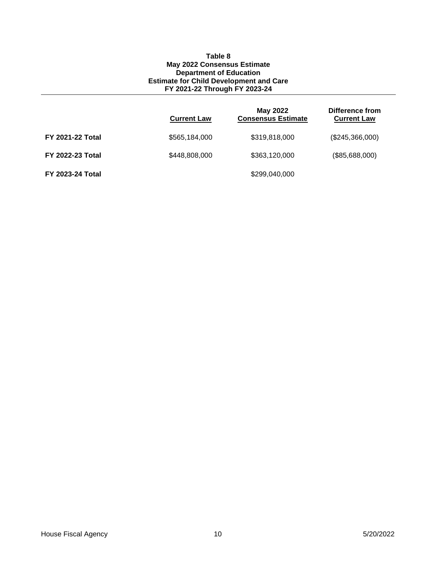#### **Table 8 May 2022 Consensus Estimate Department of Education Estimate for Child Development and Care FY 2021-22 Through FY 2023-24**

|                         | <b>Current Law</b> | May 2022<br><b>Consensus Estimate</b> | Difference from<br><b>Current Law</b> |
|-------------------------|--------------------|---------------------------------------|---------------------------------------|
| <b>FY 2021-22 Total</b> | \$565,184,000      | \$319,818,000                         | (\$245,366,000)                       |
| <b>FY 2022-23 Total</b> | \$448,808,000      | \$363,120,000                         | (\$85,688,000)                        |
| <b>FY 2023-24 Total</b> |                    | \$299,040,000                         |                                       |